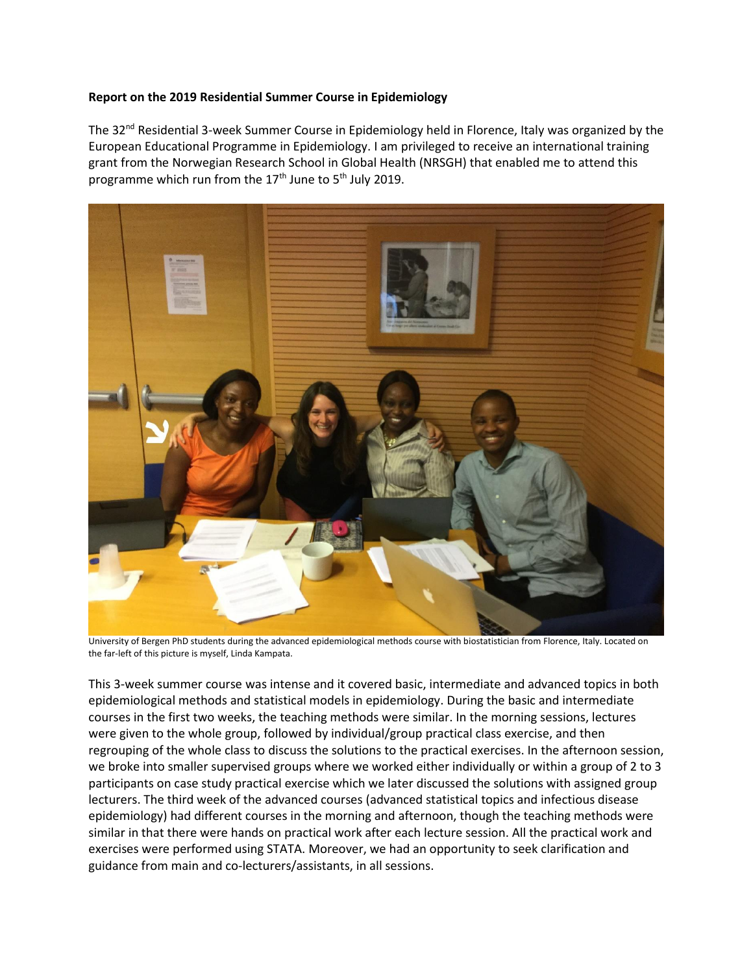## **Report on the 2019 Residential Summer Course in Epidemiology**

The 32nd Residential 3-week Summer Course in Epidemiology held in Florence, Italy was organized by the European Educational Programme in Epidemiology. I am privileged to receive an international training grant from the Norwegian Research School in Global Health (NRSGH) that enabled me to attend this programme which run from the  $17<sup>th</sup>$  June to  $5<sup>th</sup>$  July 2019.



University of Bergen PhD students during the advanced epidemiological methods course with biostatistician from Florence, Italy. Located on the far-left of this picture is myself, Linda Kampata.

This 3-week summer course was intense and it covered basic, intermediate and advanced topics in both epidemiological methods and statistical models in epidemiology. During the basic and intermediate courses in the first two weeks, the teaching methods were similar. In the morning sessions, lectures were given to the whole group, followed by individual/group practical class exercise, and then regrouping of the whole class to discuss the solutions to the practical exercises. In the afternoon session, we broke into smaller supervised groups where we worked either individually or within a group of 2 to 3 participants on case study practical exercise which we later discussed the solutions with assigned group lecturers. The third week of the advanced courses (advanced statistical topics and infectious disease epidemiology) had different courses in the morning and afternoon, though the teaching methods were similar in that there were hands on practical work after each lecture session. All the practical work and exercises were performed using STATA. Moreover, we had an opportunity to seek clarification and guidance from main and co-lecturers/assistants, in all sessions.